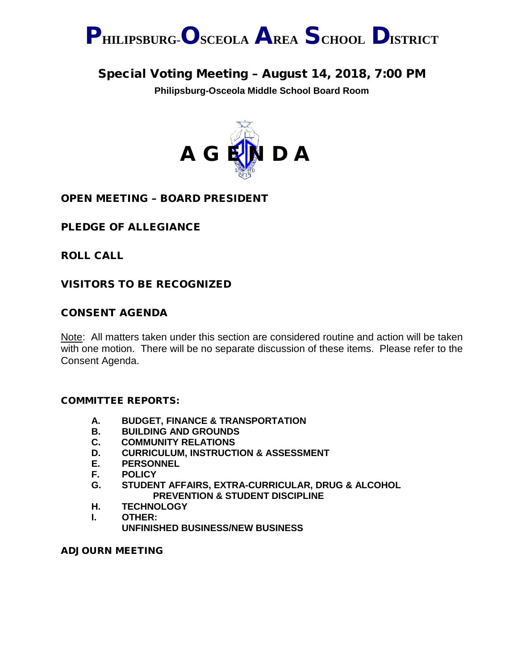

# Special Voting Meeting – August 14, 2018, 7:00 PM

**Philipsburg-Osceola Middle School Board Room**



# OPEN MEETING – BOARD PRESIDENT

# PLEDGE OF ALLEGIANCE

ROLL CALL

# VISITORS TO BE RECOGNIZED

#### CONSENT AGENDA

Note: All matters taken under this section are considered routine and action will be taken with one motion. There will be no separate discussion of these items. Please refer to the Consent Agenda.

#### COMMITTEE REPORTS:

- **A. BUDGET, FINANCE & TRANSPORTATION**
- **B. BUILDING AND GROUNDS**
- **C. COMMUNITY RELATIONS<br>D. CURRICULUM. INSTRUCTI**
- **CURRICULUM, INSTRUCTION & ASSESSMENT**
- **E. PERSONNEL**
- **F. POLICY**
- **G. STUDENT AFFAIRS, EXTRA-CURRICULAR, DRUG & ALCOHOL PREVENTION & STUDENT DISCIPLINE**
- **H. TECHNOLOGY**
- **I. OTHER:**
	- **UNFINISHED BUSINESS/NEW BUSINESS**

ADJOURN MEETING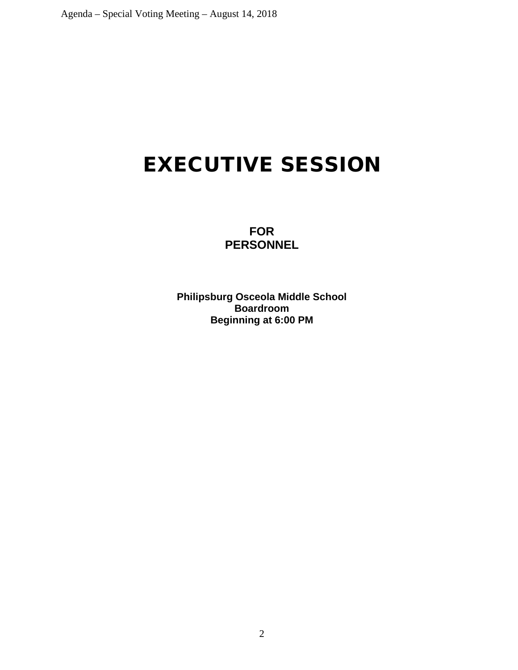# EXECUTIVE SESSION

**FOR PERSONNEL**

**Philipsburg Osceola Middle School Boardroom Beginning at 6:00 PM**